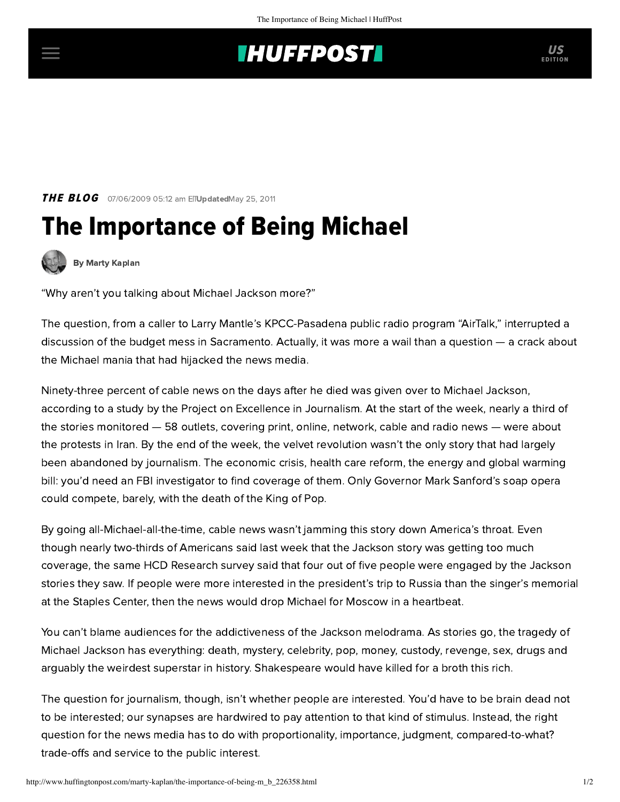## **INUFFPOSTI** US

**THE BLOG** 07/06/2009 05:12 am EllUpdatedMay 25, 2011

## The Importance of Being Michael



[By Marty Kaplan](http://www.huffingtonpost.com/author/marty-kaplan)

"Why aren't you talking about Michael Jackson more?"

The question, from a caller to Larry Mantle's KPCC-Pasadena public radio program "AirTalk," interrupted a [discussion](http://www.scpr.org/programs/airtalk/2009/07/02/budget-update-state-to-issue-ious/) of the budget mess in Sacramento. Actually, it was more a wail than a question — a crack about the Michael mania that had hijacked the news media.

Ninety-three percent of cable news on the days after he died was given over to Michael Jackson, according to a [study](http://www.journalism.org/index_report/pej_news_coverage_index_june_22_28_2009) by the Project on Excellence in Journalism. At the start of the week, nearly a third of the stories monitored — 58 outlets, covering print, online, network, cable and radio news — were about the protests in Iran. By the end of the week, the velvet revolution wasn't the only story that had largely been abandoned by journalism. The economic crisis, health care reform, the energy and global warming bill: you'd need an FBI investigator to find coverage of them. Only Governor Mark Sanford's soap opera could compete, barely, with the death of the King of Pop.

By going all-Michael-all-the-time, cable news wasn't jamming this story down America's throat. Even though nearly two-thirds of Americans said last week that the Jackson story was getting too much coverage, the same HCD Research [survey](http://www.hcdi.net/News/MediacurvesRelease.cfm?M=328) said that four out of five people were engaged by the Jackson stories they saw. If people were more interested in the president's trip to Russia than the singer's memorial at the Staples Center, then the news would drop Michael for Moscow in a heartbeat.

You can't blame audiences for the addictiveness of the Jackson melodrama. As stories go, the tragedy of Michael Jackson has everything: death, mystery, celebrity, pop, money, custody, revenge, sex, drugs and arguably the weirdest superstar in history. Shakespeare would have killed for a broth this rich.

The question for journalism, though, isn't whether people are interested. You'd have to be brain dead not to be interested; our synapses are hardwired to pay attention to that kind of stimulus. Instead, the right question for the news media has to do with proportionality, importance, judgment, compared-to-what? trade-offs and service to the public interest.